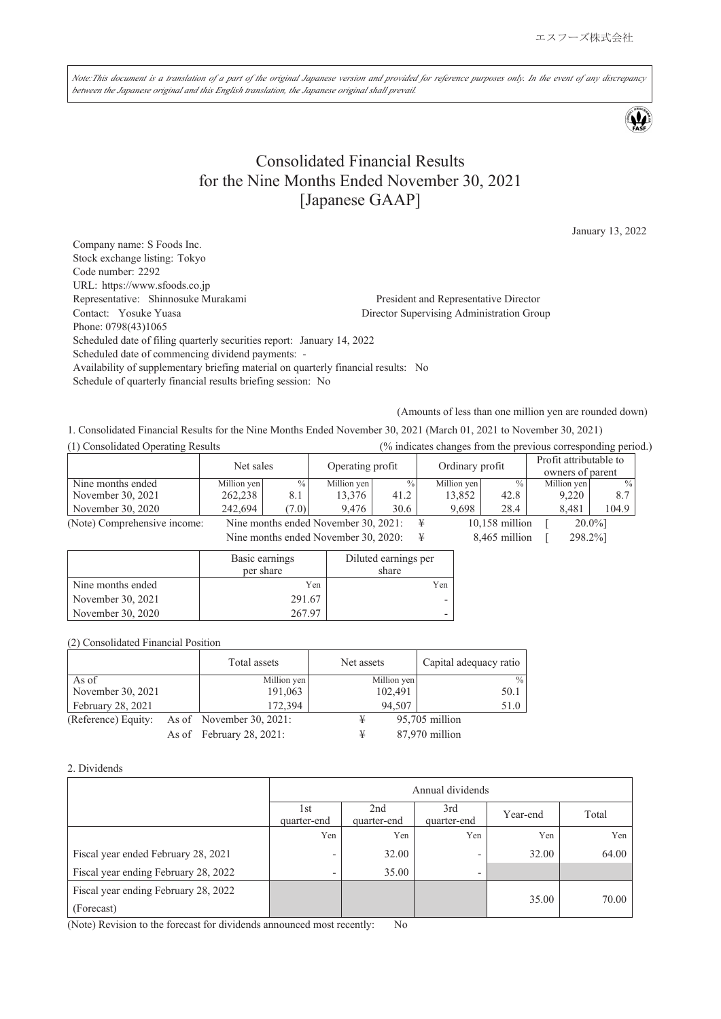Note:This document is a translation of a part of the original Japanese version and provided for reference purposes only. In the event of any discrepancy *between the Japanese original and this English translation, the Japanese original shall prevail.*

# Consolidated Financial Results for the Nine Months Ended November 30, 2021 [Japanese GAAP]

January 13, 2022

Company name: S Foods Inc. Stock exchange listing: Tokyo Code number: 2292 URL: https://www.sfoods.co.jp Representative: Shinnosuke Murakami President and Representative Director Contact: Yosuke Yuasa Director Supervising Administration Group Phone: 0798(43)1065 Scheduled date of filing quarterly securities report: January 14, 2022 Scheduled date of commencing dividend payments: - Availability of supplementary briefing material on quarterly financial results: No Schedule of quarterly financial results briefing session: No

(Amounts of less than one million yen are rounded down)

1. Consolidated Financial Results for the Nine Months Ended November 30, 2021 (March 01, 2021 to November 30, 2021)

| (1) Consolidated Operating Results |             |       |                                      |               |  |                 |                  | (% indicates changes from the previous corresponding period.) |               |  |
|------------------------------------|-------------|-------|--------------------------------------|---------------|--|-----------------|------------------|---------------------------------------------------------------|---------------|--|
|                                    | Net sales   |       | Operating profit                     |               |  | Ordinary profit |                  | Profit attributable to                                        |               |  |
|                                    |             |       |                                      |               |  |                 |                  | owners of parent                                              |               |  |
| Nine months ended                  | Million yen | $\%$  | Million yen                          | $\frac{0}{0}$ |  | Million yen     | $\frac{0}{0}$    | Million yen                                                   | $\frac{0}{0}$ |  |
| November 30, 2021                  | 262,238     | 8.1   | 13,376                               | 41.2          |  | 13,852          | 42.8             | 9,220                                                         | 8.7           |  |
| November 30, 2020                  | 242,694     | (7.0) | 9.476                                | 30.6          |  | 9.698           | 28.4             | 8.481                                                         | 104.9         |  |
| (Note) Comprehensive income:       |             |       | Nine months ended November 30, 2021: |               |  |                 | $10,158$ million |                                                               | $20.0\%$ ]    |  |
|                                    |             |       | Nine months ended November 30, 2020: |               |  |                 | 8,465 million    | 298.2%]                                                       |               |  |

Basic earnings per share Diluted earnings per share Nine months ended Yen Yen November 30, 2021 291.67 November 30, 2020 267.97

(2) Consolidated Financial Position

|                     | Total assets             | Net assets  | Capital adequacy ratio |
|---------------------|--------------------------|-------------|------------------------|
| As of               | Million yen              | Million yen | $\frac{0}{0}$          |
| November 30, 2021   | 191,063                  | 102,491     | 50.1                   |
| February 28, 2021   | 172,394                  | 94,507      | 51.0                   |
| (Reference) Equity: | As of November 30, 2021: | ¥           | 95,705 million         |
|                     | As of February 28, 2021: | ¥           | 87,970 million         |

#### 2. Dividends

|                                                    | Annual dividends                                                                    |       |                          |       |       |  |  |
|----------------------------------------------------|-------------------------------------------------------------------------------------|-------|--------------------------|-------|-------|--|--|
|                                                    | 2nd<br>3rd<br>1st<br>Total<br>Year-end<br>quarter-end<br>quarter-end<br>quarter-end |       |                          |       |       |  |  |
|                                                    | Yen                                                                                 | Yen   | Yen                      | Yen   | Yen   |  |  |
| Fiscal year ended February 28, 2021                | $\overline{\phantom{0}}$                                                            | 32.00 | ٠                        | 32.00 | 64.00 |  |  |
| Fiscal year ending February 28, 2022               | $\overline{\phantom{0}}$                                                            | 35.00 | $\overline{\phantom{0}}$ |       |       |  |  |
| Fiscal year ending February 28, 2022<br>(Forecast) |                                                                                     |       |                          | 35.00 | 70.00 |  |  |

(Note) Revision to the forecast for dividends announced most recently: No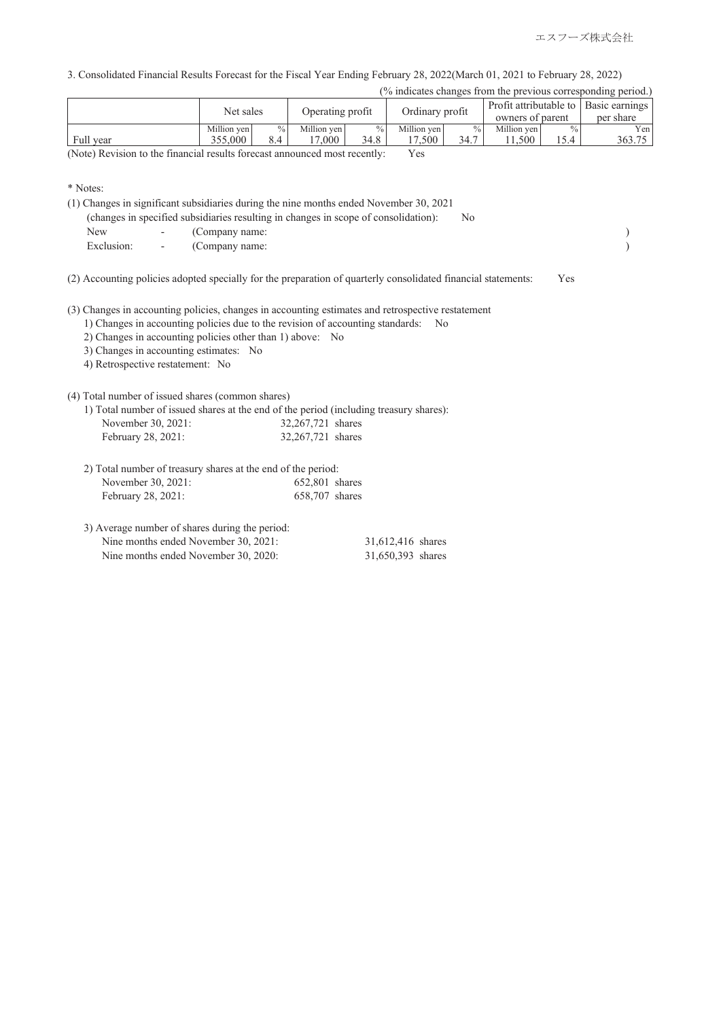3. Consolidated Financial Results Forecast for the Fiscal Year Ending February 28, 2022(March 01, 2021 to February 28, 2022)

| (% indicates changes from the previous corresponding period.) |             |                 |                  |               |                 |               |                  |     |                                         |
|---------------------------------------------------------------|-------------|-----------------|------------------|---------------|-----------------|---------------|------------------|-----|-----------------------------------------|
|                                                               | Net sales   |                 | Operating profit |               |                 |               |                  |     | Profit attributable to   Basic earnings |
|                                                               |             |                 |                  |               | Ordinary profit |               | owners of parent |     | per share                               |
|                                                               | Million yen | $\frac{0}{0}$ 1 | Million ven      | $\frac{9}{6}$ | Million yen     | $\frac{0}{0}$ | Million yen      |     | Yenl                                    |
| Full year                                                     | 355,000     | 8.4             | 17.000           | 34.8          | 17.500          | 34.7          | 1.500            | 5.4 | 363.75                                  |

(Note) Revision to the financial results forecast announced most recently: Yes

<sup>\*</sup> Notes:

|              | (1) Changes in significant subsidiaries during the nine months ended November 30, 2021 |      |  |
|--------------|----------------------------------------------------------------------------------------|------|--|
|              | (changes in specified subsidiaries resulting in changes in scope of consolidation):    | - No |  |
| New -        | (Company name:                                                                         |      |  |
| Exclusion: - | (Company name:                                                                         |      |  |
|              |                                                                                        |      |  |

(2) Accounting policies adopted specially for the preparation of quarterly consolidated financial statements: Yes

(3) Changes in accounting policies, changes in accounting estimates and retrospective restatement

- 1) Changes in accounting policies due to the revision of accounting standards: No
- 2) Changes in accounting policies other than 1) above: No
- 3) Changes in accounting estimates: No
- 4) Retrospective restatement: No

#### (4) Total number of issued shares (common shares)

1) Total number of issued shares at the end of the period (including treasury shares):

| November 30, 2021: | 32,267,721 shares |  |
|--------------------|-------------------|--|
| February 28, 2021: | 32,267,721 shares |  |

| 2) Total number of treasury shares at the end of the period: |                |  |  |  |
|--------------------------------------------------------------|----------------|--|--|--|
| November 30, 2021:                                           | 652,801 shares |  |  |  |
| February 28, 2021:                                           | 658,707 shares |  |  |  |

3) Average number of shares during the period: Nine months ended November 30, 2021: 31,612,416 shares<br>Nine months ended November 30, 2020: 31,650,393 shares Nine months ended November 30, 2020: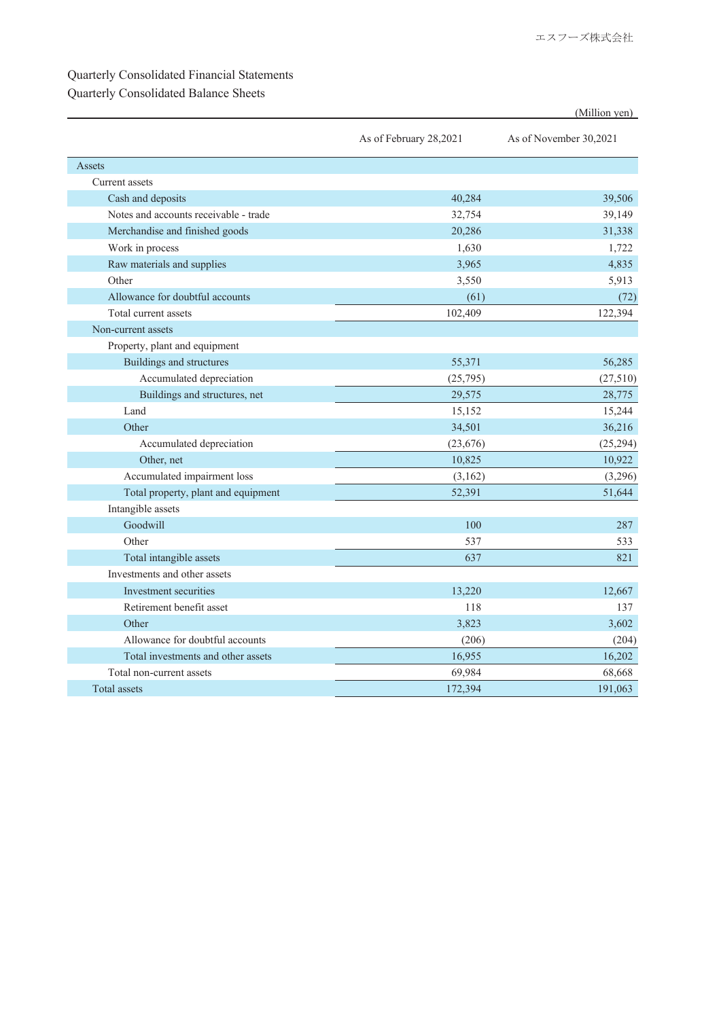## Quarterly Consolidated Financial Statements

## Quarterly Consolidated Balance Sheets

|                                       |                        | (Million yen)          |
|---------------------------------------|------------------------|------------------------|
|                                       | As of February 28,2021 | As of November 30,2021 |
| Assets                                |                        |                        |
| Current assets                        |                        |                        |
| Cash and deposits                     | 40,284                 | 39,506                 |
| Notes and accounts receivable - trade | 32,754                 | 39,149                 |
| Merchandise and finished goods        | 20,286                 | 31,338                 |
| Work in process                       | 1,630                  | 1,722                  |
| Raw materials and supplies            | 3,965                  | 4,835                  |
| Other                                 | 3,550                  | 5,913                  |
| Allowance for doubtful accounts       | (61)                   | (72)                   |
| Total current assets                  | 102,409                | 122,394                |
| Non-current assets                    |                        |                        |
| Property, plant and equipment         |                        |                        |
| <b>Buildings and structures</b>       | 55,371                 | 56,285                 |
| Accumulated depreciation              | (25,795)               | (27,510)               |
| Buildings and structures, net         | 29,575                 | 28,775                 |
| Land                                  | 15,152                 | 15,244                 |
| Other                                 | 34,501                 | 36,216                 |
| Accumulated depreciation              | (23, 676)              | (25, 294)              |
| Other, net                            | 10,825                 | 10,922                 |
| Accumulated impairment loss           | (3,162)                | (3,296)                |
| Total property, plant and equipment   | 52,391                 | 51,644                 |
| Intangible assets                     |                        |                        |
| Goodwill                              | 100                    | 287                    |
| Other                                 | 537                    | 533                    |
| Total intangible assets               | 637                    | 821                    |
| Investments and other assets          |                        |                        |
| Investment securities                 | 13.220                 | 12.667                 |
| Retirement benefit asset              | 118                    | 137                    |
| Other                                 | 3,823                  | 3,602                  |
| Allowance for doubtful accounts       | (206)                  | (204)                  |
| Total investments and other assets    | 16,955                 | 16,202                 |
| Total non-current assets              | 69,984                 | 68,668                 |
| Total assets                          | 172,394                | 191,063                |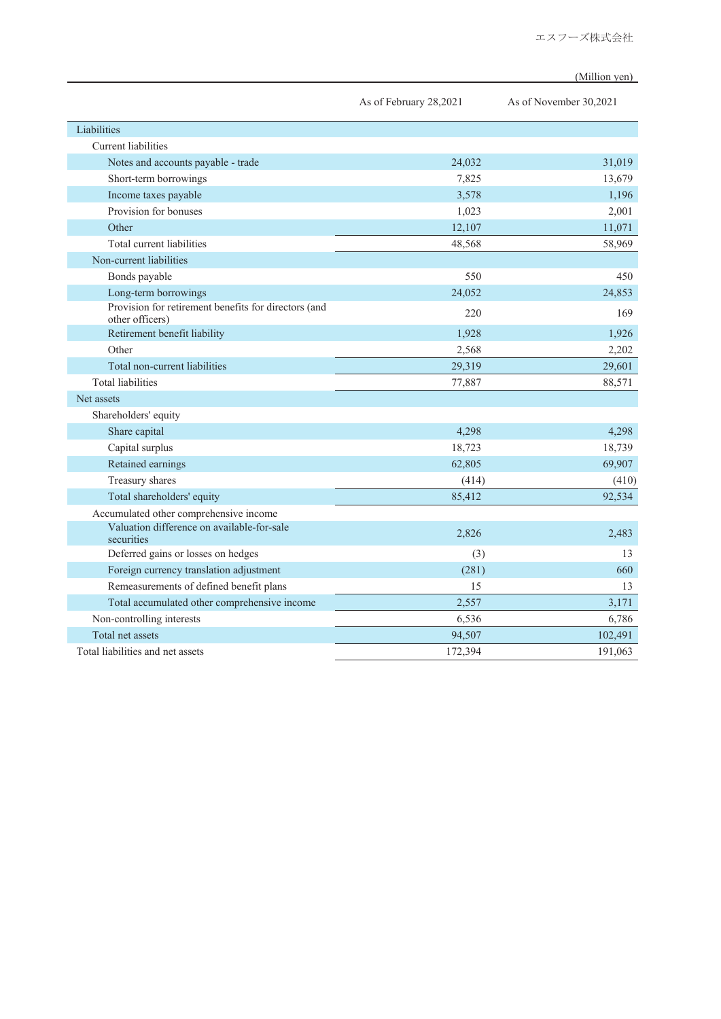(Million yen)

|                                                                         | As of February 28,2021 | As of November 30,2021 |
|-------------------------------------------------------------------------|------------------------|------------------------|
| Liabilities                                                             |                        |                        |
| Current liabilities                                                     |                        |                        |
| Notes and accounts payable - trade                                      | 24,032                 | 31,019                 |
| Short-term borrowings                                                   | 7,825                  | 13,679                 |
| Income taxes payable                                                    | 3,578                  | 1.196                  |
| Provision for bonuses                                                   | 1,023                  | 2,001                  |
| Other                                                                   | 12,107                 | 11,071                 |
| Total current liabilities                                               | 48,568                 | 58,969                 |
| Non-current liabilities                                                 |                        |                        |
| Bonds payable                                                           | 550                    | 450                    |
| Long-term borrowings                                                    | 24,052                 | 24,853                 |
| Provision for retirement benefits for directors (and<br>other officers) | 220                    | 169                    |
| Retirement benefit liability                                            | 1,928                  | 1,926                  |
| Other                                                                   | 2,568                  | 2,202                  |
| Total non-current liabilities                                           | 29,319                 | 29,601                 |
| <b>Total liabilities</b>                                                | 77,887                 | 88,571                 |
| Net assets                                                              |                        |                        |
| Shareholders' equity                                                    |                        |                        |
| Share capital                                                           | 4,298                  | 4.298                  |
| Capital surplus                                                         | 18,723                 | 18,739                 |
| Retained earnings                                                       | 62,805                 | 69,907                 |
| Treasury shares                                                         | (414)                  | (410)                  |
| Total shareholders' equity                                              | 85,412                 | 92,534                 |
| Accumulated other comprehensive income                                  |                        |                        |
| Valuation difference on available-for-sale<br>securities                | 2,826                  | 2,483                  |
| Deferred gains or losses on hedges                                      | (3)                    | 13                     |
| Foreign currency translation adjustment                                 | (281)                  | 660                    |
| Remeasurements of defined benefit plans                                 | 15                     | 13                     |
| Total accumulated other comprehensive income                            | 2,557                  | 3,171                  |
| Non-controlling interests                                               | 6,536                  | 6,786                  |
| Total net assets                                                        | 94,507                 | 102,491                |
| Total liabilities and net assets                                        | 172,394                | 191,063                |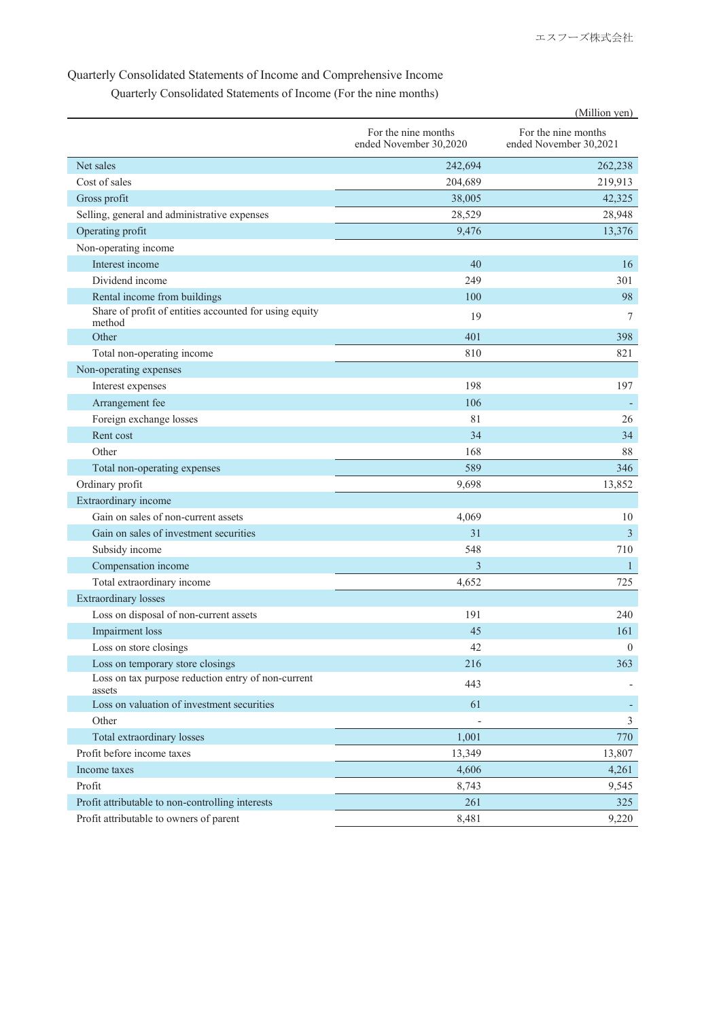#### Quarterly Consolidated Statements of Income and Comprehensive Income

Quarterly Consolidated Statements of Income (For the nine months)

|                                                                  |                                               | (Million yen)                                 |
|------------------------------------------------------------------|-----------------------------------------------|-----------------------------------------------|
|                                                                  | For the nine months<br>ended November 30,2020 | For the nine months<br>ended November 30,2021 |
| Net sales                                                        | 242,694                                       | 262,238                                       |
| Cost of sales                                                    | 204,689                                       | 219,913                                       |
| Gross profit                                                     | 38,005                                        | 42,325                                        |
| Selling, general and administrative expenses                     | 28,529                                        | 28,948                                        |
| Operating profit                                                 | 9,476                                         | 13,376                                        |
| Non-operating income                                             |                                               |                                               |
| Interest income                                                  | 40                                            | 16                                            |
| Dividend income                                                  | 249                                           | 301                                           |
| Rental income from buildings                                     | 100                                           | 98                                            |
| Share of profit of entities accounted for using equity<br>method | 19                                            | 7                                             |
| Other                                                            | 401                                           | 398                                           |
| Total non-operating income                                       | 810                                           | 821                                           |
| Non-operating expenses                                           |                                               |                                               |
| Interest expenses                                                | 198                                           | 197                                           |
| Arrangement fee                                                  | 106                                           |                                               |
| Foreign exchange losses                                          | 81                                            | 26                                            |
| Rent cost                                                        | 34                                            | 34                                            |
| Other                                                            | 168                                           | 88                                            |
| Total non-operating expenses                                     | 589                                           | 346                                           |
| Ordinary profit                                                  | 9,698                                         | 13,852                                        |
| Extraordinary income                                             |                                               |                                               |
| Gain on sales of non-current assets                              | 4,069                                         | 10                                            |
| Gain on sales of investment securities                           | 31                                            | 3                                             |
| Subsidy income                                                   | 548                                           | 710                                           |
| Compensation income                                              | 3                                             | $\mathbf{1}$                                  |
| Total extraordinary income                                       | 4,652                                         | 725                                           |
| <b>Extraordinary losses</b>                                      |                                               |                                               |
| Loss on disposal of non-current assets                           | 191                                           | 240                                           |
| <b>Impairment</b> loss                                           | 45                                            | 161                                           |
| Loss on store closings                                           | 42                                            | $\boldsymbol{0}$                              |
| Loss on temporary store closings                                 | 216                                           | 363                                           |
| Loss on tax purpose reduction entry of non-current<br>assets     | 443                                           |                                               |
| Loss on valuation of investment securities                       | 61                                            |                                               |
| Other                                                            |                                               | $\mathfrak{Z}$                                |
| Total extraordinary losses                                       | 1,001                                         | 770                                           |
| Profit before income taxes                                       | 13,349                                        | 13,807                                        |
| Income taxes                                                     | 4,606                                         | 4,261                                         |
| Profit                                                           | 8,743                                         | 9,545                                         |
| Profit attributable to non-controlling interests                 | 261                                           | 325                                           |
| Profit attributable to owners of parent                          | 8,481                                         | 9,220                                         |